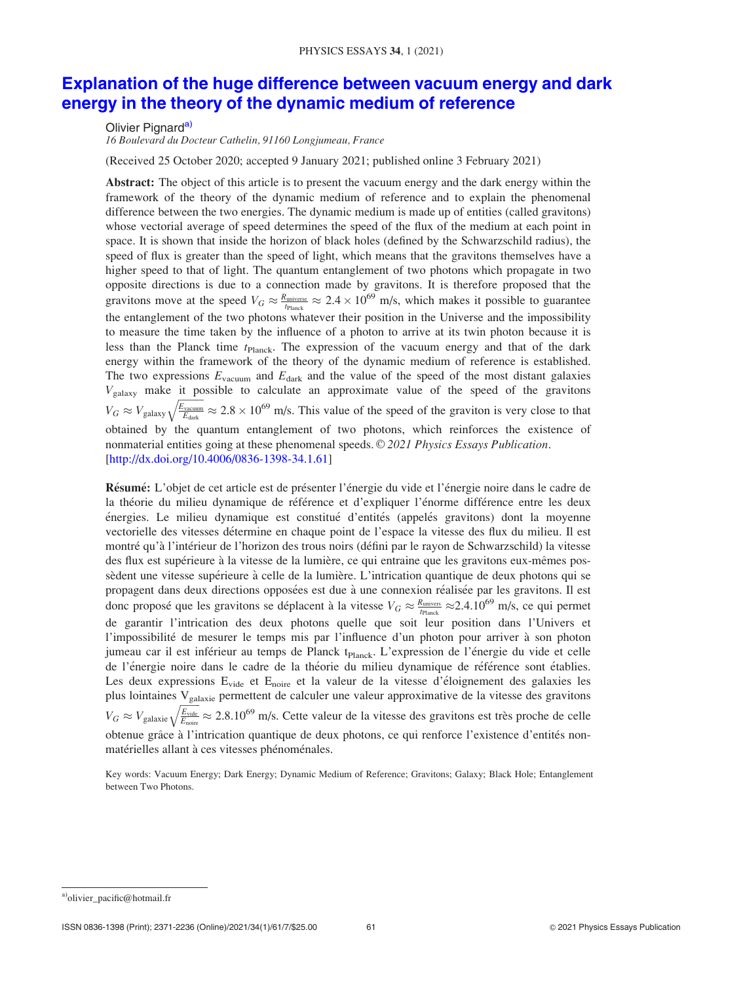# Explanation of the huge difference between vacuum energy and dark energy in the theory of the dynamic medium of reference

Olivier Pignard<sup>a)</sup>

16 Boulevard du Docteur Cathelin, 91160 Longjumeau, France

(Received 25 October 2020; accepted 9 January 2021; published online 3 February 2021)

Abstract: The object of this article is to present the vacuum energy and the dark energy within the framework of the theory of the dynamic medium of reference and to explain the phenomenal difference between the two energies. The dynamic medium is made up of entities (called gravitons) whose vectorial average of speed determines the speed of the flux of the medium at each point in space. It is shown that inside the horizon of black holes (defined by the Schwarzschild radius), the speed of flux is greater than the speed of light, which means that the gravitons themselves have a higher speed to that of light. The quantum entanglement of two photons which propagate in two opposite directions is due to a connection made by gravitons. It is therefore proposed that the gravitons move at the speed  $V_G \approx \frac{R_{\text{universe}}}{t_{\text{Planck}}} \approx 2.4 \times 10^{69}$  m/s, which makes it possible to guarantee the entanglement of the two photons whatever their position in the Universe and the impossibility to measure the time taken by the influence of a photon to arrive at its twin photon because it is less than the Planck time  $t_{\text{Planck}}$ . The expression of the vacuum energy and that of the dark energy within the framework of the theory of the dynamic medium of reference is established. The two expressions  $E_{\text{vacuum}}$  and  $E_{\text{dark}}$  and the value of the speed of the most distant galaxies  $V_{\text{galaxy}}$  make it possible to calculate an approximate value of the speed of the gravitons  $V_G \approx V_{\text{galaxy}}$  $\sqrt{\frac{E_{\text{vacuum}}}{E_{\text{dark}}}} \approx 2.8 \times 10^{69}$  m/s. This value of the speed of the graviton is very close to that obtained by the quantum entanglement of two photons, which reinforces the existence of nonmaterial entities going at these phenomenal speeds. © 2021 Physics Essays Publication. [http://dx.doi.org/10.4006/0836-1398-34.1.61]

Résumé: L'objet de cet article est de présenter l'énergie du vide et l'énergie noire dans le cadre de la théorie du milieu dynamique de référence et d'expliquer l'énorme différence entre les deux énergies. Le milieu dynamique est constitué d'entités (appelés gravitons) dont la moyenne vectorielle des vitesses détermine en chaque point de l'espace la vitesse des flux du milieu. Il est montré qu'à l'intérieur de l'horizon des trous noirs (défini par le rayon de Schwarzschild) la vitesse des flux est supérieure à la vitesse de la lumière, ce qui entraine que les gravitons eux-mêmes possèdent une vitesse supérieure à celle de la lumière. L'intrication quantique de deux photons qui se propagent dans deux directions opposées est due à une connexion réalisée par les gravitons. Il est donc proposé que les gravitons se déplacent à la vitesse  $V_G \approx \frac{R_{\text{univers}}}{t_{\text{Planck}}} \approx 2.4.10^{69}$  m/s, ce qui permet de garantir l'intrication des deux photons quelle que soit leur position dans l'Univers et l'impossibilité de mesurer le temps mis par l'influence d'un photon pour arriver à son photon jumeau car il est inférieur au temps de Planck t<sub>Planck</sub>. L'expression de l'énergie du vide et celle de l'énergie noire dans le cadre de la théorie du milieu dynamique de référence sont établies. Les deux expressions E<sub>vide</sub> et E<sub>noire</sub> et la valeur de la vitesse d'éloignement des galaxies les plus lointaines Vgalaxie permettent de calculer une valeur approximative de la vitesse des gravitons  $V_G\approx V_{\rm galaxies}$  $\sqrt{\frac{E_{\text{video}}}{E_{\text{noise}}}} \approx 2.8.10^{69}$  m/s. Cette valeur de la vitesse des gravitons est très proche de celle obtenue grâce à l'intrication quantique de deux photons, ce qui renforce l'existence d'entités nonmatérielles allant à ces vitesses phénoménales.

Key words: Vacuum Energy; Dark Energy; Dynamic Medium of Reference; Gravitons; Galaxy; Black Hole; Entanglement between Two Photons.

a)olivier\_pacific@hotmail.fr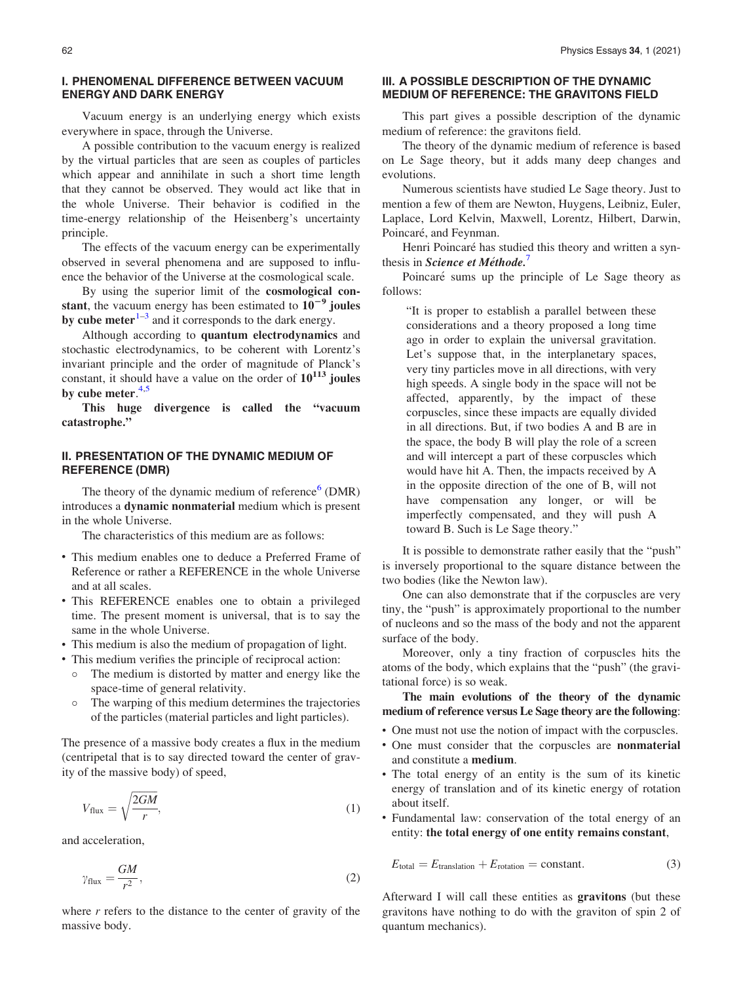# I. PHENOMENAL DIFFERENCE BETWEEN VACUUM ENERGY AND DARK ENERGY

Vacuum energy is an underlying energy which exists everywhere in space, through the Universe.

A possible contribution to the vacuum energy is realized by the virtual particles that are seen as couples of particles which appear and annihilate in such a short time length that they cannot be observed. They would act like that in the whole Universe. Their behavior is codified in the time-energy relationship of the Heisenberg's uncertainty principle.

The effects of the vacuum energy can be experimentally observed in several phenomena and are supposed to influence the behavior of the Universe at the cosmological scale.

By using the superior limit of the cosmological constant, the vacuum energy has been estimated to  $10^{-9}$  joules by cube meter $1-3$  and it corresponds to the dark energy.

Although according to quantum electrodynamics and stochastic electrodynamics, to be coherent with Lorentz's invariant principle and the order of magnitude of Planck's constant, it should have a value on the order of  $10^{113}$  joules by cube meter.<sup>[4,5](#page-6-0)</sup>

This huge divergence is called the "vacuum catastrophe."

# II. PRESENTATION OF THE DYNAMIC MEDIUM OF REFERENCE (DMR)

The theory of the dynamic medium of reference $6$  (DMR) introduces a dynamic nonmaterial medium which is present in the whole Universe.

The characteristics of this medium are as follows:

- This medium enables one to deduce a Preferred Frame of Reference or rather a REFERENCE in the whole Universe and at all scales.
- This REFERENCE enables one to obtain a privileged time. The present moment is universal, that is to say the same in the whole Universe.
- This medium is also the medium of propagation of light.
- This medium verifies the principle of reciprocal action:
	- The medium is distorted by matter and energy like the space-time of general relativity.
	- The warping of this medium determines the trajectories of the particles (material particles and light particles).

The presence of a massive body creates a flux in the medium (centripetal that is to say directed toward the center of gravity of the massive body) of speed,

$$
V_{\text{flux}} = \sqrt{\frac{2GM}{r}},\tag{1}
$$

and acceleration,

$$
\gamma_{\text{flux}} = \frac{GM}{r^2},\tag{2}
$$

where  $r$  refers to the distance to the center of gravity of the massive body.

## III. A POSSIBLE DESCRIPTION OF THE DYNAMIC MEDIUM OF REFERENCE: THE GRAVITONS FIELD

This part gives a possible description of the dynamic medium of reference: the gravitons field.

The theory of the dynamic medium of reference is based on Le Sage theory, but it adds many deep changes and evolutions.

Numerous scientists have studied Le Sage theory. Just to mention a few of them are Newton, Huygens, Leibniz, Euler, Laplace, Lord Kelvin, Maxwell, Lorentz, Hilbert, Darwin, Poincaré, and Feynman.

Henri Poincaré has studied this theory and written a synthesis in *Science et Méthode.*<sup>[7](#page-6-0)</sup>

Poincaré sums up the principle of Le Sage theory as follows:

"It is proper to establish a parallel between these considerations and a theory proposed a long time ago in order to explain the universal gravitation. Let's suppose that, in the interplanetary spaces, very tiny particles move in all directions, with very high speeds. A single body in the space will not be affected, apparently, by the impact of these corpuscles, since these impacts are equally divided in all directions. But, if two bodies A and B are in the space, the body B will play the role of a screen and will intercept a part of these corpuscles which would have hit A. Then, the impacts received by A in the opposite direction of the one of B, will not have compensation any longer, or will be imperfectly compensated, and they will push A toward B. Such is Le Sage theory."

It is possible to demonstrate rather easily that the "push" is inversely proportional to the square distance between the two bodies (like the Newton law).

One can also demonstrate that if the corpuscles are very tiny, the "push" is approximately proportional to the number of nucleons and so the mass of the body and not the apparent surface of the body.

Moreover, only a tiny fraction of corpuscles hits the atoms of the body, which explains that the "push" (the gravitational force) is so weak.

The main evolutions of the theory of the dynamic medium of reference versus Le Sage theory are the following:

- One must not use the notion of impact with the corpuscles.
- One must consider that the corpuscles are nonmaterial and constitute a medium.
- The total energy of an entity is the sum of its kinetic energy of translation and of its kinetic energy of rotation about itself.
- Fundamental law: conservation of the total energy of an entity: the total energy of one entity remains constant,

$$
E_{\text{total}} = E_{\text{translation}} + E_{\text{rotation}} = \text{constant.} \tag{3}
$$

Afterward I will call these entities as gravitons (but these gravitons have nothing to do with the graviton of spin 2 of quantum mechanics).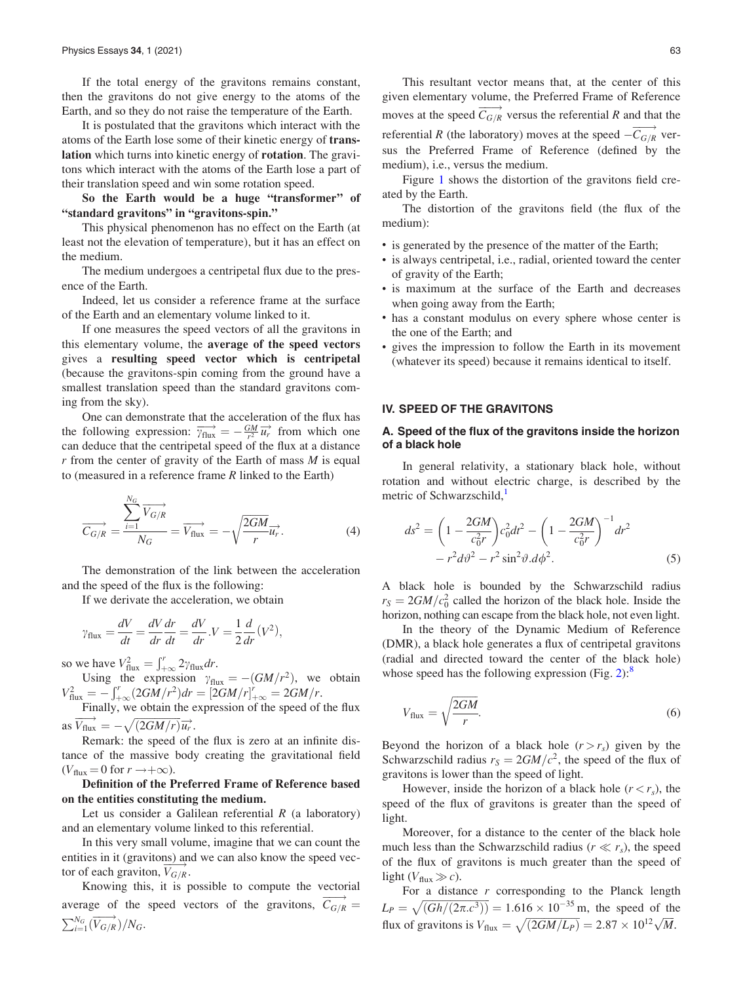If the total energy of the gravitons remains constant, then the gravitons do not give energy to the atoms of the Earth, and so they do not raise the temperature of the Earth.

It is postulated that the gravitons which interact with the atoms of the Earth lose some of their kinetic energy of translation which turns into kinetic energy of rotation. The gravitons which interact with the atoms of the Earth lose a part of their translation speed and win some rotation speed.

So the Earth would be a huge "transformer" of "standard gravitons" in "gravitons-spin."

This physical phenomenon has no effect on the Earth (at least not the elevation of temperature), but it has an effect on the medium.

The medium undergoes a centripetal flux due to the presence of the Earth.

Indeed, let us consider a reference frame at the surface of the Earth and an elementary volume linked to it.

If one measures the speed vectors of all the gravitons in this elementary volume, the average of the speed vectors gives a resulting speed vector which is centripetal (because the gravitons-spin coming from the ground have a smallest translation speed than the standard gravitons coming from the sky).

One can demonstrate that the acceleration of the flux has the following expression:  $\overrightarrow{v_{\text{flux}}} = -\frac{GM}{r^2} \overrightarrow{u_r}$  from which one can deduce that the centripetal speed of the flux at a distance  $r$  from the center of gravity of the Earth of mass  $M$  is equal to (measured in a reference frame  $R$  linked to the Earth)

$$
\overrightarrow{C_{G/R}} = \frac{\sum_{i=1}^{N_G} \overrightarrow{V_{G/R}}}{N_G} = \overrightarrow{V_{flux}} = -\sqrt{\frac{2GM}{r}} \overrightarrow{u_r}.
$$
 (4)

The demonstration of the link between the acceleration and the speed of the flux is the following:

If we derivate the acceleration, we obtain

$$
\gamma_{\text{flux}} = \frac{dV}{dt} = \frac{dV}{dr}\frac{dr}{dt} = \frac{dV}{dr} . V = \frac{1}{2}\frac{d}{dr}(V^2),
$$

so we have  $V_{\text{flux}}^2 = \int_{+\infty}^{r} 2\gamma_{\text{flux}} dr$ .

NG

Using the expression  $\gamma_{\text{flux}} = -(GM/r^2)$ , we obtain  $V_{\text{flux}}^2 = -\int_{+\infty}^{r} (2GM/r^2) dr = [2GM/r]_{+\infty}^{r} = 2GM/r.$ 

Finally, we obtain the expression of the speed of the flux as  $\overrightarrow{V_{\text{flux}}} = -\sqrt{(2GM/r)}\overrightarrow{u_r}.$ 

Remark: the speed of the flux is zero at an infinite distance of the massive body creating the gravitational field  $(V_{\text{flux}} = 0 \text{ for } r \rightarrow +\infty).$ 

Definition of the Preferred Frame of Reference based on the entities constituting the medium.

Let us consider a Galilean referential  $R$  (a laboratory) and an elementary volume linked to this referential.

In this very small volume, imagine that we can count the entities in it (gravitons) and we can also know the speed vector of each graviton,  $\overrightarrow{V_{G/R}}$ .

Knowing this, it is possible to compute the vectorial average of the speed vectors of the gravitons,  $\overrightarrow{C_{G/R}}$  =  $\sum_{i=1}^{N_G} (\overrightarrow{V_{G/R}})/N_G.$ 

This resultant vector means that, at the center of this given elementary volume, the Preferred Frame of Reference moves at the speed  $\overrightarrow{C_{G/R}}$  versus the referential R and that the referential R (the laboratory) moves at the speed  $-\overrightarrow{C_{G/R}}$  versus the Preferred Frame of Reference (defined by the medium), i.e., versus the medium.

Figure [1](#page-3-0) shows the distortion of the gravitons field created by the Earth.

The distortion of the gravitons field (the flux of the medium):

- is generated by the presence of the matter of the Earth;
- is always centripetal, i.e., radial, oriented toward the center of gravity of the Earth;
- is maximum at the surface of the Earth and decreases when going away from the Earth;
- has a constant modulus on every sphere whose center is the one of the Earth; and
- gives the impression to follow the Earth in its movement (whatever its speed) because it remains identical to itself.

#### IV. SPEED OF THE GRAVITONS

### A. Speed of the flux of the gravitons inside the horizon of a black hole

In general relativity, a stationary black hole, without rotation and without electric charge, is described by the metric of Schwarzschild,<sup>[1](#page-6-0)</sup>

$$
ds^{2} = \left(1 - \frac{2GM}{c_{0}^{2}r}\right)c_{0}^{2}dt^{2} - \left(1 - \frac{2GM}{c_{0}^{2}r}\right)^{-1}dr^{2}
$$

$$
-r^{2}d\vartheta^{2} - r^{2}\sin^{2}\vartheta \, d\varphi^{2}.
$$
 (5)

A black hole is bounded by the Schwarzschild radius  $r_S = 2GM/c_0^2$  called the horizon of the black hole. Inside the horizon, nothing can escape from the black hole, not even light.

In the theory of the Dynamic Medium of Reference (DMR), a black hole generates a flux of centripetal gravitons (radial and directed toward the center of the black hole) whose speed has the following expression (Fig.  $2$ ):<sup>[8](#page-6-0)</sup>

$$
V_{\text{flux}} = \sqrt{\frac{2GM}{r}}.\tag{6}
$$

Beyond the horizon of a black hole  $(r > r<sub>s</sub>)$  given by the Schwarzschild radius  $r_S = 2GM/c^2$ , the speed of the flux of gravitons is lower than the speed of light.

However, inside the horizon of a black hole  $(r < r<sub>s</sub>)$ , the speed of the flux of gravitons is greater than the speed of light.

Moreover, for a distance to the center of the black hole much less than the Schwarzschild radius ( $r \ll r_s$ ), the speed of the flux of gravitons is much greater than the speed of light ( $V_{\text{flux}} \gg c$ ).

For a distance  $r$  corresponding to the Planck length  $L_P = \sqrt{\left(\frac{Gh}{2\pi \cdot c^3}\right)} = 1.616 \times 10^{-35}$  m, the speed of the flux of gravitons is  $V_{\text{flux}} = \sqrt{(2GM/L_P)} = 2.87 \times 10^{12} \sqrt{M}$ .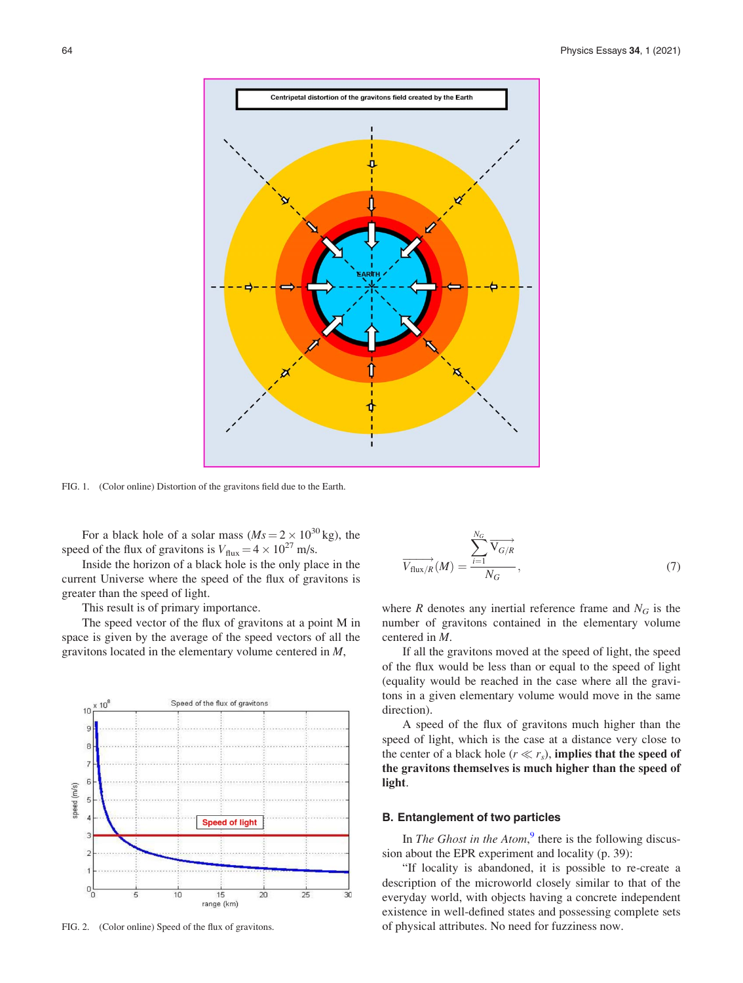<span id="page-3-0"></span>

FIG. 1. (Color online) Distortion of the gravitons field due to the Earth.

For a black hole of a solar mass  $(Ms = 2 \times 10^{30} \text{ kg})$ , the speed of the flux of gravitons is  $V_{\text{flux}} = 4 \times 10^{27}$  m/s.

Inside the horizon of a black hole is the only place in the current Universe where the speed of the flux of gravitons is greater than the speed of light.

This result is of primary importance.

The speed vector of the flux of gravitons at a point M in space is given by the average of the speed vectors of all the gravitons located in the elementary volume centered in M,



$$
\overrightarrow{V_{\text{flux}/R}}(M) = \frac{\sum_{i=1}^{N_G} \overrightarrow{V_{G/R}}}{N_G},\tag{7}
$$

where R denotes any inertial reference frame and  $N_G$  is the number of gravitons contained in the elementary volume centered in M.

If all the gravitons moved at the speed of light, the speed of the flux would be less than or equal to the speed of light (equality would be reached in the case where all the gravitons in a given elementary volume would move in the same direction).

A speed of the flux of gravitons much higher than the speed of light, which is the case at a distance very close to the center of a black hole ( $r \ll r_s$ ), implies that the speed of the gravitons themselves is much higher than the speed of light.

### B. Entanglement of two particles

In The Ghost in the Atom, $9$  there is the following discussion about the EPR experiment and locality (p. 39):

"If locality is abandoned, it is possible to re-create a description of the microworld closely similar to that of the everyday world, with objects having a concrete independent existence in well-defined states and possessing complete sets FIG. 2. (Color online) Speed of the flux of gravitons. of physical attributes. No need for fuzziness now.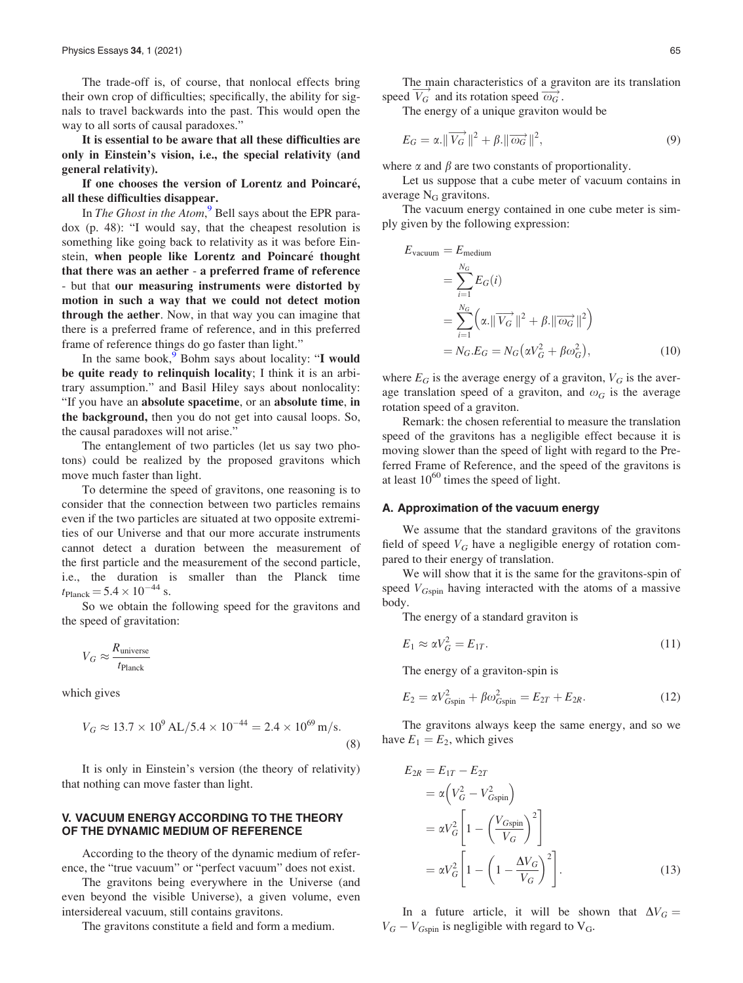<span id="page-4-0"></span>The trade-off is, of course, that nonlocal effects bring their own crop of difficulties; specifically, the ability for signals to travel backwards into the past. This would open the way to all sorts of causal paradoxes."

It is essential to be aware that all these difficulties are only in Einstein's vision, i.e., the special relativity (and general relativity).

If one chooses the version of Lorentz and Poincaré, all these difficulties disappear.

In The Ghost in the Atom,<sup>[9](#page-6-0)</sup> Bell says about the EPR paradox (p. 48): "I would say, that the cheapest resolution is something like going back to relativity as it was before Einstein, when people like Lorentz and Poincaré thought that there was an aether - a preferred frame of reference - but that our measuring instruments were distorted by motion in such a way that we could not detect motion through the aether. Now, in that way you can imagine that there is a preferred frame of reference, and in this preferred frame of reference things do go faster than light."

In the same book, $9$  Bohm says about locality: "I would be quite ready to relinquish locality; I think it is an arbitrary assumption." and Basil Hiley says about nonlocality: "If you have an absolute spacetime, or an absolute time, in the background, then you do not get into causal loops. So, the causal paradoxes will not arise."

The entanglement of two particles (let us say two photons) could be realized by the proposed gravitons which move much faster than light.

To determine the speed of gravitons, one reasoning is to consider that the connection between two particles remains even if the two particles are situated at two opposite extremities of our Universe and that our more accurate instruments cannot detect a duration between the measurement of the first particle and the measurement of the second particle, i.e., the duration is smaller than the Planck time  $t_{\text{Planck}} = 5.4 \times 10^{-44} \text{ s.}$ 

So we obtain the following speed for the gravitons and the speed of gravitation:

$$
V_G \approx \frac{R_{\text{universe}}}{t_{\text{Planck}}}
$$

which gives

$$
V_G \approx 13.7 \times 10^9 \,\text{AL}/5.4 \times 10^{-44} = 2.4 \times 10^{69} \,\text{m/s}.\tag{8}
$$

It is only in Einstein's version (the theory of relativity) that nothing can move faster than light.

# V. VACUUM ENERGY ACCORDING TO THE THEORY OF THE DYNAMIC MEDIUM OF REFERENCE

According to the theory of the dynamic medium of reference, the "true vacuum" or "perfect vacuum" does not exist.

The gravitons being everywhere in the Universe (and even beyond the visible Universe), a given volume, even intersidereal vacuum, still contains gravitons.

The gravitons constitute a field and form a medium.

The main characteristics of a graviton are its translation speed  $\overrightarrow{V_G}$  and its rotation speed  $\overrightarrow{\omega_G}$ .

The energy of a unique graviton would be

$$
E_G = \alpha \|\overrightarrow{V_G}\|^2 + \beta \|\overrightarrow{\omega_G}\|^2, \tag{9}
$$

where  $\alpha$  and  $\beta$  are two constants of proportionality.

Let us suppose that a cube meter of vacuum contains in average  $N_G$  gravitons.

The vacuum energy contained in one cube meter is simply given by the following expression:

$$
E_{\text{vacuum}} = E_{\text{medium}}
$$
  
= 
$$
\sum_{i=1}^{N_G} E_G(i)
$$
  
= 
$$
\sum_{i=1}^{N_G} \left( \alpha \cdot \|\overrightarrow{V_G}\|^2 + \beta \cdot \|\overrightarrow{\omega_G}\|^2 \right)
$$
  
= 
$$
N_G.E_G = N_G(\alpha V_G^2 + \beta \omega_G^2),
$$
 (10)

where  $E_G$  is the average energy of a graviton,  $V_G$  is the average translation speed of a graviton, and  $\omega_G$  is the average rotation speed of a graviton.

Remark: the chosen referential to measure the translation speed of the gravitons has a negligible effect because it is moving slower than the speed of light with regard to the Preferred Frame of Reference, and the speed of the gravitons is at least  $10^{60}$  times the speed of light.

#### A. Approximation of the vacuum energy

We assume that the standard gravitons of the gravitons field of speed  $V_G$  have a negligible energy of rotation compared to their energy of translation.

We will show that it is the same for the gravitons-spin of speed  $V_{Gspin}$  having interacted with the atoms of a massive body.

The energy of a standard graviton is

$$
E_1 \approx \alpha V_G^2 = E_{1T}.\tag{11}
$$

The energy of a graviton-spin is

$$
E_2 = \alpha V_{Gspin}^2 + \beta \omega_{Gspin}^2 = E_{2T} + E_{2R}.
$$
 (12)

The gravitons always keep the same energy, and so we have  $E_1 = E_2$ , which gives

$$
E_{2R} = E_{1T} - E_{2T}
$$
  
\n
$$
= \alpha \left( V_G^2 - V_{Gspin}^2 \right)
$$
  
\n
$$
= \alpha V_G^2 \left[ 1 - \left( \frac{V_{Gspin}}{V_G} \right)^2 \right]
$$
  
\n
$$
= \alpha V_G^2 \left[ 1 - \left( 1 - \frac{\Delta V_G}{V_G} \right)^2 \right].
$$
\n(13)

In a future article, it will be shown that  $\Delta V_G =$  $V_G - V_{Gspin}$  is negligible with regard to  $V_G$ .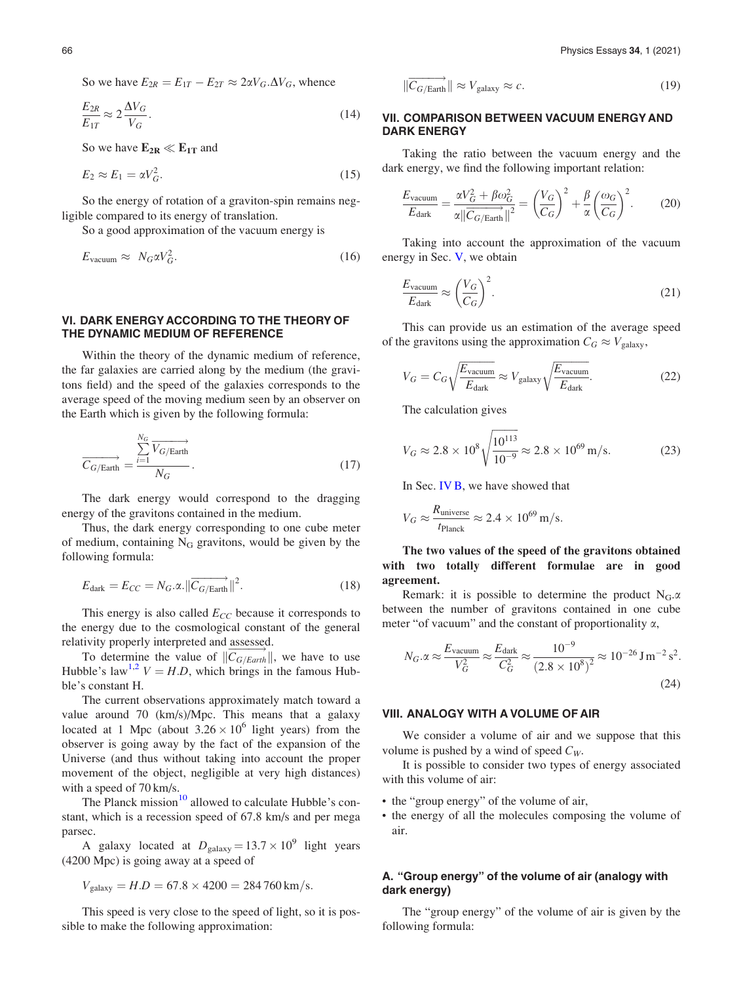So we have  $E_{2R} = E_{1T} - E_{2T} \approx 2\alpha V_G \Delta V_G$ , whence

$$
\frac{E_{2R}}{E_{1T}} \approx 2 \frac{\Delta V_G}{V_G}.
$$
\n(14)

So we have  $E_{2R} \ll E_{1T}$  and

$$
E_2 \approx E_1 = \alpha V_G^2. \tag{15}
$$

So the energy of rotation of a graviton-spin remains negligible compared to its energy of translation.

So a good approximation of the vacuum energy is

$$
E_{\text{vacuum}} \approx N_G \alpha V_G^2. \tag{16}
$$

## VI. DARK ENERGY ACCORDING TO THE THEORY OF THE DYNAMIC MEDIUM OF REFERENCE

Within the theory of the dynamic medium of reference, the far galaxies are carried along by the medium (the gravitons field) and the speed of the galaxies corresponds to the average speed of the moving medium seen by an observer on the Earth which is given by the following formula:

$$
\overrightarrow{C_{G/Earth}} = \frac{\sum_{i=1}^{N_G} \overrightarrow{V_{G/Earth}}}{N_G}.
$$
\n(17)

The dark energy would correspond to the dragging energy of the gravitons contained in the medium.

Thus, the dark energy corresponding to one cube meter of medium, containing  $N_G$  gravitons, would be given by the following formula:

$$
E_{\text{dark}} = E_{CC} = N_G.\alpha. ||\overrightarrow{C_{G/\text{Earth}}}||^2.
$$
 (18)

This energy is also called  $E_{CC}$  because it corresponds to the energy due to the cosmological constant of the general relativity properly interpreted and assessed.

To determine the value of  $\|\overline{C_{G/Earth}}\|$ , we have to use Hubble's law<sup>[1,2](#page-6-0)</sup>  $V = H.D$ , which brings in the famous Hubble's constant H.

The current observations approximately match toward a value around 70 (km/s)/Mpc. This means that a galaxy located at 1 Mpc (about  $3.26 \times 10^6$  light years) from the observer is going away by the fact of the expansion of the Universe (and thus without taking into account the proper movement of the object, negligible at very high distances) with a speed of 70 km/s.

The Planck mission<sup>[10](#page-6-0)</sup> allowed to calculate Hubble's constant, which is a recession speed of 67.8 km/s and per mega parsec.

A galaxy located at  $D_{\text{galaxy}} = 13.7 \times 10^9$  light years (4200 Mpc) is going away at a speed of

$$
V_{\text{galaxy}} = H.D = 67.8 \times 4200 = 284760 \,\text{km/s}.
$$

This speed is very close to the speed of light, so it is possible to make the following approximation:

$$
\|\overrightarrow{C_{G/\text{Earth}}}\| \approx V_{\text{galaxy}} \approx c. \tag{19}
$$

## VII. COMPARISON BETWEEN VACUUM ENERGY AND DARK ENERGY

Taking the ratio between the vacuum energy and the dark energy, we find the following important relation:

$$
\frac{E_{\text{vacuum}}}{E_{\text{dark}}} = \frac{\alpha V_G^2 + \beta \omega_G^2}{\alpha ||\overrightarrow{C_G/\text{Earth}}||^2} = \left(\frac{V_G}{C_G}\right)^2 + \frac{\beta}{\alpha} \left(\frac{\omega_G}{C_G}\right)^2. \tag{20}
$$

Taking into account the approximation of the vacuum energy in Sec. [V,](#page-4-0) we obtain

$$
\frac{E_{\text{vacuum}}}{E_{\text{dark}}} \approx \left(\frac{V_G}{C_G}\right)^2.
$$
\n(21)

This can provide us an estimation of the average speed of the gravitons using the approximation  $C_G \approx V_{\text{galaxy}}$ ,

$$
V_G = C_G \sqrt{\frac{E_{\text{vacuum}}}{E_{\text{dark}}}} \approx V_{\text{galaxy}} \sqrt{\frac{E_{\text{vacuum}}}{E_{\text{dark}}}}.
$$
 (22)

The calculation gives

$$
V_G \approx 2.8 \times 10^8 \sqrt{\frac{10^{113}}{10^{-9}}} \approx 2.8 \times 10^{69} \,\mathrm{m/s}.\tag{23}
$$

In Sec. [IV B,](#page-3-0) we have showed that

$$
V_G \approx \frac{R_{\text{universe}}}{t_{\text{Planck}}} \approx 2.4 \times 10^{69} \text{ m/s}.
$$

The two values of the speed of the gravitons obtained with two totally different formulae are in good agreement.

Remark: it is possible to determine the product  $N_G \alpha$ between the number of gravitons contained in one cube meter "of vacuum" and the constant of proportionality  $\alpha$ ,

$$
N_G.\alpha \approx \frac{E_{\text{vacuum}}}{V_G^2} \approx \frac{E_{\text{dark}}}{C_G^2} \approx \frac{10^{-9}}{(2.8 \times 10^8)^2} \approx 10^{-26} \text{ J m}^{-2} \text{ s}^2. \tag{24}
$$

#### VIII. ANALOGY WITH A VOLUME OF AIR

We consider a volume of air and we suppose that this volume is pushed by a wind of speed  $C_W$ .

It is possible to consider two types of energy associated with this volume of air:

- the "group energy" of the volume of air,
- the energy of all the molecules composing the volume of air.

# A. "Group energy" of the volume of air (analogy with dark energy)

The "group energy" of the volume of air is given by the following formula: